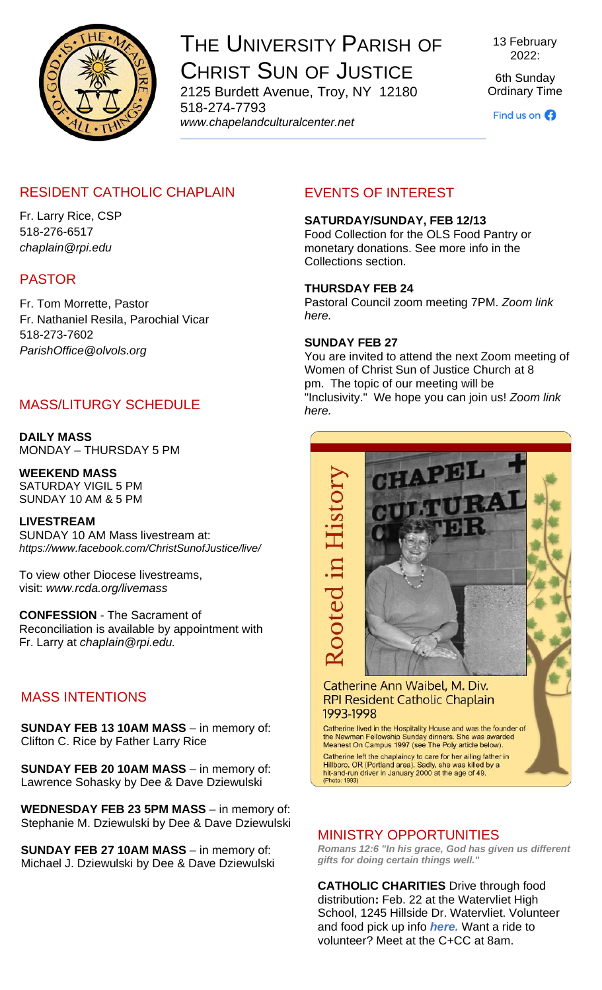

# THE UNIVERSITY PARISH OF CHRIST SUN OF JUSTICE 2125 Burdett Avenue, Troy, NY 12180

518-274-7793 *www[.chapelandculturalcenter.net](https://chapelandculturalcenter.net/)* 13 February 2022:

6th Sunday Ordinary Time

Find us on  $\bigodot$ 

# RESIDENT CATHOLIC CHAPLAIN

Fr. Larry Rice, CSP 518-276-6517 *[chaplain@rpi.edu](mailto:chaplain@rpi.edu)*

# PASTOR

Fr. Tom Morrette, Pastor Fr. Nathaniel Resila, Parochial Vicar 518-273-7602 *[ParishOffice@olvols.org](mailto:ParishOffice@olvols.org)*

# MASS/LITURGY SCHEDULE

**DAILY MASS** MONDAY – THURSDAY 5 PM

**WEEKEND MASS** SATURDAY VIGIL 5 PM SUNDAY 10 AM & 5 PM

**LIVESTREAM**  SUNDAY 10 AM Mass livestream at: *<https://www.facebook.com/ChristSunofJustice/live/>*

To view other Diocese livestreams, visit: *[www.rcda.org/livemass](http://www.rcda.org/livemass)*

**CONFESSION** - The Sacrament of Reconciliation is available by appointment with Fr. Larry at *[chaplain@rpi.edu.](mailto:chaplain@rpi.edu)*

# MASS INTENTIONS

**SUNDAY FEB 13 10AM MASS - in memory of:** Clifton C. Rice by Father Larry Rice

**SUNDAY FEB 20 10AM MASS - in memory of:** Lawrence Sohasky by Dee & Dave Dziewulski

**WEDNESDAY FEB 23 5PM MASS - in memory of:** Stephanie M. Dziewulski by Dee & Dave Dziewulski

**SUNDAY FEB 27 10AM MASS** – in memory of: Michael J. Dziewulski by Dee & Dave Dziewulski

# EVENTS OF INTEREST

#### **SATURDAY/SUNDAY, FEB 12/13**

Food Collection for the OLS Food Pantry or monetary donations. See more info in the Collections section.

#### **THURSDAY FEB 24**

Pastoral Council zoom meeting 7PM. *[Zoom link](https://us06web.zoom.us/j/88087366796?pwd=Tm9xU0ZEYkNRdEwrRmlkTDFncG1jZz09)  [here.](https://us06web.zoom.us/j/88087366796?pwd=Tm9xU0ZEYkNRdEwrRmlkTDFncG1jZz09)*

#### **SUNDAY FEB 27**

You are invited to attend the next Zoom meeting of Women of Christ Sun of Justice Church at 8 pm. The topic of our meeting will be "Inclusivity." We hope you can join us! *[Zoom link](https://us06web.zoom.us/j/84217784947?pwd=UW0vZE81TG5XYzNNT2orT1A3dmJCdz09)  [here.](https://us06web.zoom.us/j/84217784947?pwd=UW0vZE81TG5XYzNNT2orT1A3dmJCdz09)*



# MINISTRY OPPORTUNITIES

*Romans 12:6 "In his grace, God has given us different gifts for doing certain things well."*

**CATHOLIC CHARITIES** Drive through food distribution**:** Feb. 22 at the Watervliet High School, 1245 Hillside Dr. Watervliet. Volunteer and food pick up info *[here.](https://www.facebook.com/events/2853998671559224/?acontext=%7B%22event_action_history%22%3A%5b%7B%22surface%22%3A%22page%22%7D%5d%7D)* Want a ride to volunteer? Meet at the C+CC at 8am.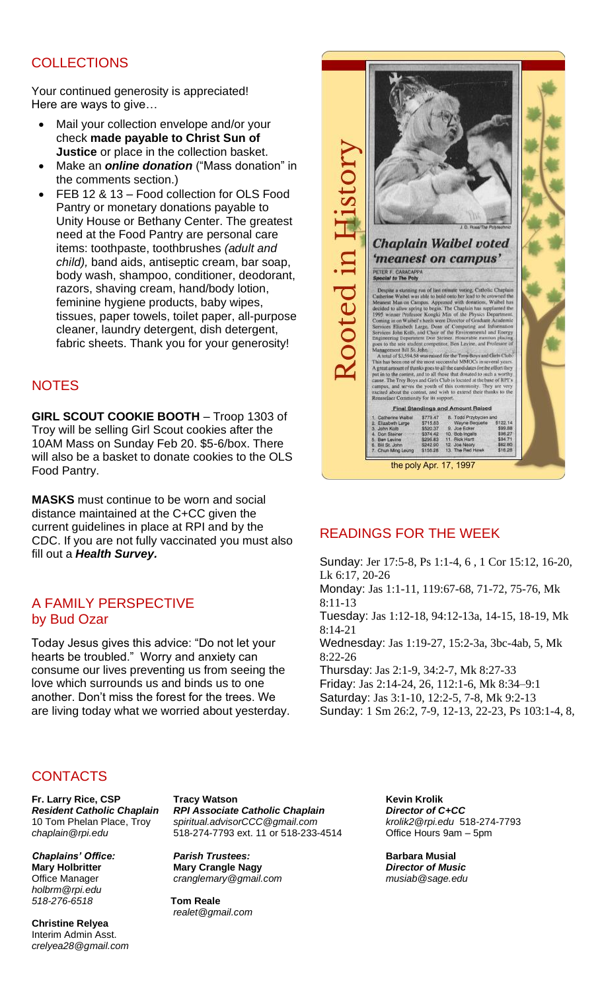# **COLLECTIONS**

Your continued generosity is appreciated! Here are ways to give…

- Mail your collection envelope and/or your check **made payable to Christ Sun of Justice** or place in the collection basket.
- Make an *[online donation](http://chapelandculturalcenter.net/give-back/)* ("Mass donation" in the comments section.)
- FEB 12 & 13 Food collection for OLS Food Pantry or monetary donations payable to Unity House or Bethany Center. The greatest need at the Food Pantry are personal care items: toothpaste, toothbrushes *(adult and child),* band aids, antiseptic cream, bar soap, body wash, shampoo, conditioner, deodorant, razors, shaving cream, hand/body lotion, feminine hygiene products, baby wipes, tissues, paper towels, toilet paper, all-purpose cleaner, laundry detergent, dish detergent, fabric sheets. Thank you for your generosity!

### **NOTES**

**GIRL SCOUT COOKIE BOOTH** – Troop 1303 of Troy will be selling Girl Scout cookies after the 10AM Mass on Sunday Feb 20. \$5-6/box. There will also be a basket to donate cookies to the OLS Food Pantry.

**MASKS** must continue to be worn and social distance maintained at the C+CC given the current guidelines in place at RPI and by the CDC. If you are not fully vaccinated you must also fill out a *[Health Survey.](https://www.chapelandculturalcenter.net/health-survey/)*

#### A FAMILY PERSPECTIVE by Bud Ozar

Today Jesus gives this advice: "Do not let your hearts be troubled." Worry and anxiety can consume our lives preventing us from seeing the love which surrounds us and binds us to one another. Don't miss the forest for the trees. We are living today what we worried about yesterday.



# READINGS FOR THE WEEK

Sunday: [Jer 17:5-8,](https://bible.usccb.org/bible/jeremiah/17?5) [Ps 1:1-4, 6 ,](https://bible.usccb.org/bible/psalms/1?1) [1 Cor 15:12, 16-20,](https://bible.usccb.org/bible/1corinthians/15?12) [Lk 6:17, 20-26](https://bible.usccb.org/bible/luke/6?17) Monday: [Jas 1:1-11,](https://bible.usccb.org/bible/james/1?1) [119:67-68, 71-72, 75-76,](https://bible.usccb.org/bible/psalms/119?67) [Mk](https://bible.usccb.org/bible/mark/8?11)  [8:11-13](https://bible.usccb.org/bible/mark/8?11) Tuesday: [Jas 1:12-18,](https://bible.usccb.org/bible/james/1?12) [94:12-13a, 14-15, 18-19,](https://bible.usccb.org/bible/psalms/94?12) [Mk](https://bible.usccb.org/bible/mark/8?14)  [8:14-21](https://bible.usccb.org/bible/mark/8?14) Wednesday: [Jas 1:19-27,](https://bible.usccb.org/bible/james/1?19) [15:2-3a, 3bc-4ab, 5,](https://bible.usccb.org/bible/psalms/15?2) [Mk](https://bible.usccb.org/bible/mark/8?22)  [8:22-26](https://bible.usccb.org/bible/mark/8?22) Thursday: [Jas 2:1-9,](https://bible.usccb.org/bible/james/2?1) [34:2-7,](https://bible.usccb.org/bible/psalms/34?2) [Mk 8:27-33](https://bible.usccb.org/bible/mark/8?27) Friday: [Jas 2:14-24, 26,](https://bible.usccb.org/bible/james/2?14) [112:1-6,](https://bible.usccb.org/bible/psalms/112?1) [Mk 8:34–9:1](https://bible.usccb.org/bible/mark/8?34) Saturday: [Jas 3:1-10,](https://bible.usccb.org/bible/james/3?1) [12:2-5, 7-8,](https://bible.usccb.org/bible/psalms/12?2) [Mk 9:2-13](https://bible.usccb.org/bible/mark/9?2) Sunday: [1 Sm 26:2, 7-9, 12-13, 22-23,](https://bible.usccb.org/bible/1samuel/26?2) [Ps 103:1-4, 8,](https://bible.usccb.org/bible/psalms/103?1) 

#### **CONTACTS**

Fr. Larry Rice, CSP **Tracy Watson**<br> **Resident Catholic Chaplain** RPI Associate Catholic Chaplain **The** *Director of C+CC* 

*[holbrm@rpi.edu](mailto:holbrm@rpi.edu) 518-276-6518* **Tom Reale**

**Christine Relyea** Interim Admin Asst. *[crelyea28@gmail.com](mailto:crelyea28@gmail.com)*

*Resident Catholic Chaplain <br>
RPI Associate Catholic Chaplain* 10 Tom Phelan Place, Troy *[spiritual.advisorCCC@gmail.com](mailto:spiritual.advisorCCC@gmail.com) [krolik2@rpi.edu](mailto:krolik2@rpi.edu)* 518-274-7793 *[chaplain@rpi.edu](mailto:chaplain@rpi.edu)* 518-274-7793 ext. 11 or 518-233-4514 Office Hours 9am – 5pm

*Chaplains' Office: Parish Trustees:* **Barbara Musial Mary Crangle Nagy Director of Music**<br> *Crangle mary* @gmail.com **Director of Music**<br> *Director of Music* Office Manager *cranglemary @gmail.com* 

*[realet@gmail.com](mailto:realet@gmail.com)*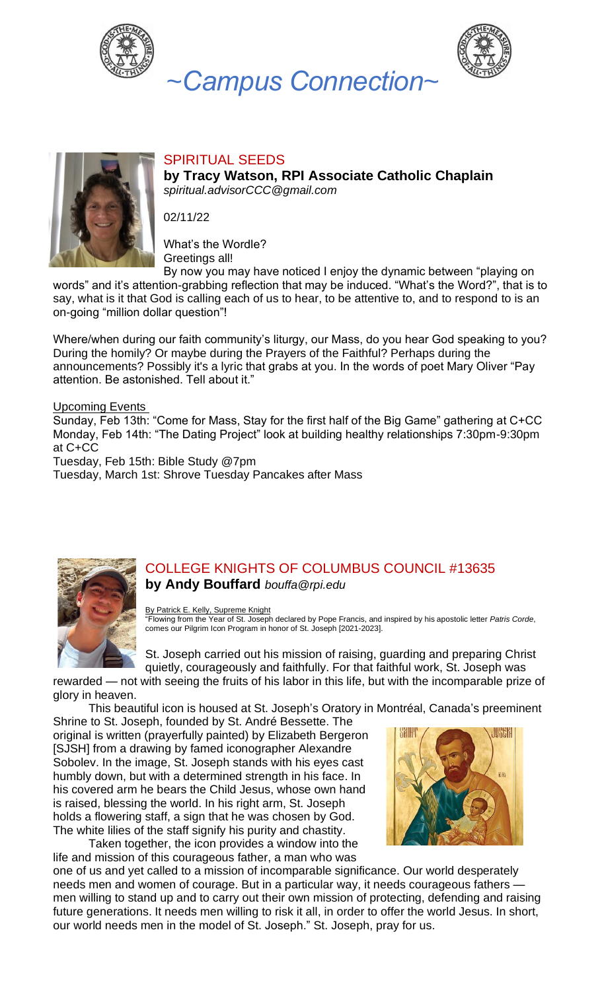







# SPIRITUAL SEEDS

**by Tracy Watson, RPI Associate Catholic Chaplain** *[spiritual.advisorCCC@gmail.com](mailto:spiritual.advisorCCC@gmail.com)*

02/11/22

What's the Wordle? Greetings all!

By now you may have noticed I enjoy the dynamic between "playing on words" and it's attention-grabbing reflection that may be induced. "What's the Word?", that is to say, what is it that God is calling each of us to hear, to be attentive to, and to respond to is an on-going "million dollar question"!

Where/when during our faith community's liturgy, our Mass, do you hear God speaking to you? During the homily? Or maybe during the Prayers of the Faithful? Perhaps during the announcements? Possibly it's a lyric that grabs at you. In the words of poet Mary Oliver "Pay attention. Be astonished. Tell about it."

#### Upcoming Events

Sunday, Feb 13th: "Come for Mass, Stay for the first half of the Big Game" gathering at C+CC Monday, Feb 14th: "The Dating Project" look at building healthy relationships 7:30pm-9:30pm at C+CC

Tuesday, Feb 15th: Bible Study @7pm

Tuesday, March 1st: Shrove Tuesday Pancakes after Mass



### COLLEGE KNIGHTS OF COLUMBUS COUNCIL #13635 **by Andy Bouffard** *[bouffa@rpi.edu](mailto:bouffa@rpi.edu)*

By Patrick E. Kelly, [Supreme](https://www.kofc.org/en/resources/faith-in-action-programs/faith/pilgrim-icon/5050-pilgrim-icon-prayer-booklet.pdf) Knight

"Flowing from the Year of St. Joseph declared by Pope Francis, and inspired by his apostolic letter *Patris Corde*, comes our Pilgrim Icon Program in honor of St. Joseph [2021-2023].

St. Joseph carried out his mission of raising, guarding and preparing Christ quietly, courageously and faithfully. For that faithful work, St. Joseph was

rewarded — not with seeing the fruits of his labor in this life, but with the incomparable prize of glory in heaven.

This beautiful icon is housed at St. Joseph's Oratory in Montréal, Canada's preeminent

Shrine to St. Joseph, founded by St. André Bessette. The original is written (prayerfully painted) by Elizabeth Bergeron [SJSH] from a drawing by famed iconographer Alexandre Sobolev. In the image, St. Joseph stands with his eyes cast humbly down, but with a determined strength in his face. In his covered arm he bears the Child Jesus, whose own hand is raised, blessing the world. In his right arm, St. Joseph holds a flowering staff, a sign that he was chosen by God. The white lilies of the staff signify his purity and chastity.

Taken together, the icon provides a window into the life and mission of this courageous father, a man who was



one of us and yet called to a mission of incomparable significance. Our world desperately needs men and women of courage. But in a particular way, it needs courageous fathers men willing to stand up and to carry out their own mission of protecting, defending and raising future generations. It needs men willing to risk it all, in order to offer the world Jesus. In short, our world needs men in the model of St. Joseph." St. Joseph, pray for us.